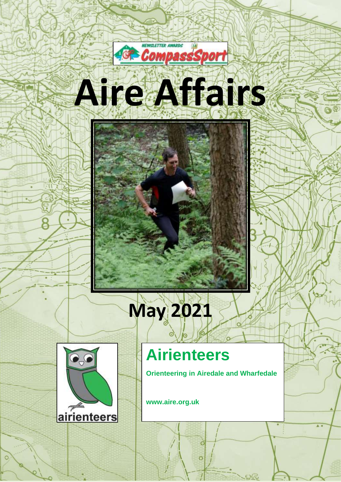



# **May 2021**



## **Airienteers**

**Orienteering in Airedale and Wharfedale**

 $\overline{c}$ 

 $\overline{O}$ 

**www.aire.org.uk**

1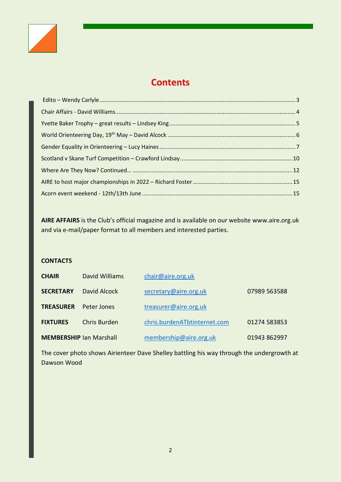

## **Contents**

**AIRE AFFAIRS** is the Club's official magazine and is available on our website www.aire.org.uk and via e-mail/paper format to all members and interested parties.

#### **CONTACTS**

| <b>CHAIR</b>                   | David Williams | chair@aire.org.uk            |              |
|--------------------------------|----------------|------------------------------|--------------|
| <b>SECRETARY</b>               | David Alcock   | secretary@aire.org.uk        | 07989 563588 |
| <b>TREASURER</b>               | Peter Jones    | treasurer@aire.org.uk        |              |
| <b>FIXTURES</b>                | Chris Burden   | chris.burdenATbtinternet.com | 01274 583853 |
| <b>MEMBERSHIP Ian Marshall</b> |                | membership@aire.org.uk       | 01943 862997 |

The cover photo shows Airienteer Dave Shelley battling his way through the undergrowth at Dawson Wood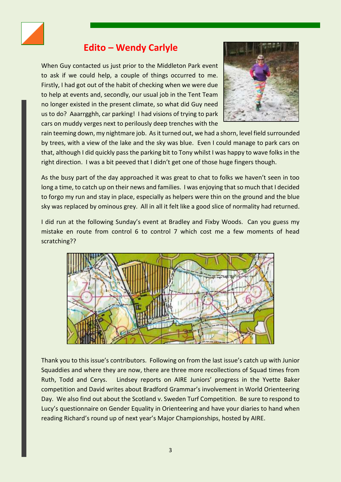

## **Edito – Wendy Carlyle**

<span id="page-2-0"></span>When Guy contacted us just prior to the Middleton Park event to ask if we could help, a couple of things occurred to me. Firstly, I had got out of the habit of checking when we were due to help at events and, secondly, our usual job in the Tent Team no longer existed in the present climate, so what did Guy need us to do? Aaarrgghh, car parking! I had visions of trying to park cars on muddy verges next to perilously deep trenches with the



rain teeming down, my nightmare job. As it turned out, we had a shorn, level field surrounded by trees, with a view of the lake and the sky was blue. Even I could manage to park cars on that, although I did quickly pass the parking bit to Tony whilst I was happy to wave folks in the right direction. I was a bit peeved that I didn't get one of those huge fingers though.

As the busy part of the day approached it was great to chat to folks we haven't seen in too long a time, to catch up on their news and families. I was enjoying that so much that I decided to forgo my run and stay in place, especially as helpers were thin on the ground and the blue sky was replaced by ominous grey. All in all it felt like a good slice of normality had returned.

I did run at the following Sunday's event at Bradley and Fixby Woods. Can you guess my mistake en route from control 6 to control 7 which cost me a few moments of head scratching??



Thank you to this issue's contributors. Following on from the last issue's catch up with Junior Squaddies and where they are now, there are three more recollections of Squad times from Ruth, Todd and Cerys. Lindsey reports on AIRE Juniors' progress in the Yvette Baker competition and David writes about Bradford Grammar's involvement in World Orienteering Day. We also find out about the Scotland v. Sweden Turf Competition. Be sure to respond to Lucy's questionnaire on Gender Equality in Orienteering and have your diaries to hand when reading Richard's round up of next year's Major Championships, hosted by AIRE.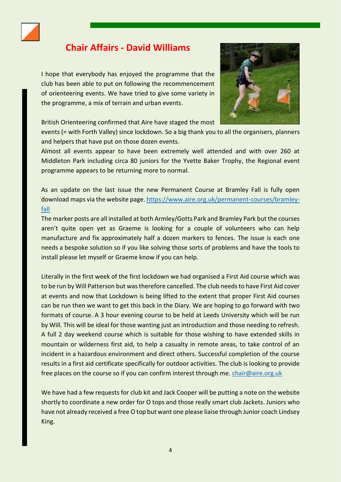

## <span id="page-3-0"></span>**Chair Affairs - David Williams**

I hope that everybody has enjoyed the programme that the club has been able to put on following the recommencement of orienteering events. We have tried to give some variety in the programme, a mix of terrain and urban events.



British Orienteering confirmed that Aire have staged the most

events (= with Forth Valley) since lockdown. So a big thank you to all the organisers, planners and helpers that have put on those dozen events.

Almost all events appear to have been extremely well attended and with over 260 at Middleton Park including circa 80 juniors for the Yvette Baker Trophy, the Regional event programme appears to be returning more to normal.

As an update on the last issue the new Permanent Course at Bramley Fall is fully open download maps via the website page. [https://www.aire.org.uk/permanent-courses/bramley](https://www.aire.org.uk/permanent-courses/bramley-fall)[fall](https://www.aire.org.uk/permanent-courses/bramley-fall)

The marker posts are all installed at both Armley/Gotts Park and Bramley Park but the courses aren't quite open yet as Graeme is looking for a couple of volunteers who can help manufacture and fix approximately half a dozen markers to fences. The issue is each one needs a bespoke solution so if you like solving those sorts of problems and have the tools to install please let myself or Graeme know if you can help.

Literally in the first week of the first lockdown we had organised a First Aid course which was to be run by Will Patterson but was therefore cancelled. The club needs to have First Aid cover at events and now that Lockdown is being lifted to the extent that proper First Aid courses can be run then we want to get this back in the Diary. We are hoping to go forward with two formats of course. A 3 hour evening course to be held at Leeds University which will be run by Will. This will be ideal for those wanting just an introduction and those needing to refresh. A full 2 day weekend course which is suitable for those wishing to have extended skills in mountain or wilderness first aid, to help a casualty in remote areas, to take control of an incident in a hazardous environment and direct others. Successful completion of the course results in a first aid certificate specifically for outdoor activities. The club is looking to provide free places on the course so if you can confirm interest through me. [chair@aire.org.uk](mailto:chair@aire.org.uk)

We have had a few requests for club kit and Jack Cooper will be putting a note on the website shortly to coordinate a new order for O tops and those really smart club Jackets. Juniors who have not already received a free O top but want one please liaise through Junior coach Lindsey King.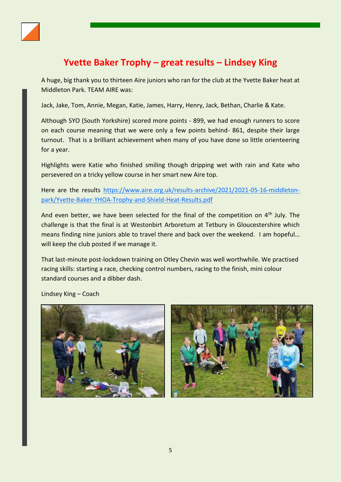

## **Yvette Baker Trophy – great results – Lindsey King**

<span id="page-4-0"></span>A huge, big thank you to thirteen Aire juniors who ran for the club at the Yvette Baker heat at Middleton Park. TEAM AIRE was:

Jack, Jake, Tom, Annie, Megan, Katie, James, Harry, Henry, Jack, Bethan, Charlie & Kate.

Although SYO (South Yorkshire) scored more points - 899, we had enough runners to score on each course meaning that we were only a few points behind- 861, despite their large turnout. That is a brilliant achievement when many of you have done so little orienteering for a year.

Highlights were Katie who finished smiling though dripping wet with rain and Kate who persevered on a tricky yellow course in her smart new Aire top.

Here are the results [https://www.aire.org.uk/results-archive/2021/2021-05-16-middleton](https://www.aire.org.uk/results-archive/2021/2021-05-16-middleton-park/Yvette-Baker-YHOA-Trophy-and-Shield-Heat-Results.pdf)[park/Yvette-Baker-YHOA-Trophy-and-Shield-Heat-Results.pdf](https://www.aire.org.uk/results-archive/2021/2021-05-16-middleton-park/Yvette-Baker-YHOA-Trophy-and-Shield-Heat-Results.pdf)

And even better, we have been selected for the final of the competition on  $4<sup>th</sup>$  July. The challenge is that the final is at Westonbirt Arboretum at Tetbury in Gloucestershire which means finding nine juniors able to travel there and back over the weekend. I am hopeful… will keep the club posted if we manage it.

That last-minute post-lockdown training on Otley Chevin was well worthwhile. We practised racing skills: starting a race, checking control numbers, racing to the finish, mini colour standard courses and a dibber dash.

Lindsey King – Coach

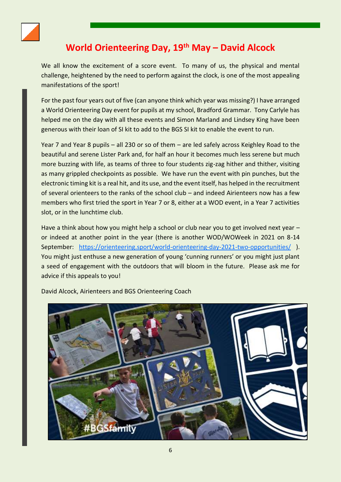

## **World Orienteering Day, 19th May – David Alcock**

<span id="page-5-0"></span>We all know the excitement of a score event. To many of us, the physical and mental challenge, heightened by the need to perform against the clock, is one of the most appealing manifestations of the sport!

For the past four years out of five (can anyone think which year was missing?) I have arranged a World Orienteering Day event for pupils at my school, Bradford Grammar. Tony Carlyle has helped me on the day with all these events and Simon Marland and Lindsey King have been generous with their loan of SI kit to add to the BGS SI kit to enable the event to run.

Year 7 and Year 8 pupils – all 230 or so of them – are led safely across Keighley Road to the beautiful and serene Lister Park and, for half an hour it becomes much less serene but much more buzzing with life, as teams of three to four students zig-zag hither and thither, visiting as many grippled checkpoints as possible. We have run the event with pin punches, but the electronic timing kit is a real hit, and its use, and the event itself, has helped in the recruitment of several orienteers to the ranks of the school club – and indeed Airienteers now has a few members who first tried the sport in Year 7 or 8, either at a WOD event, in a Year 7 activities slot, or in the lunchtime club.

Have a think about how you might help a school or club near you to get involved next year – or indeed at another point in the year (there is another WOD/WOWeek in 2021 on 8-14 September: <https://orienteering.sport/world-orienteering-day-2021-two-opportunities/> ). You might just enthuse a new generation of young 'cunning runners' or you might just plant a seed of engagement with the outdoors that will bloom in the future. Please ask me for advice if this appeals to you!



David Alcock, Airienteers and BGS Orienteering Coach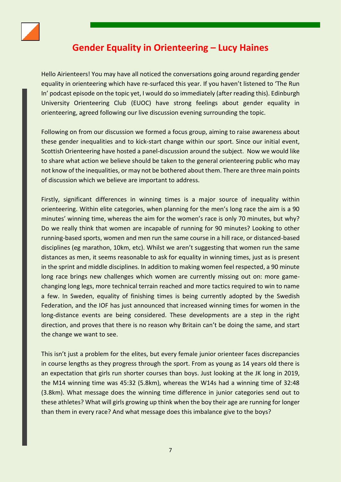

## **Gender Equality in Orienteering – Lucy Haines**

<span id="page-6-0"></span>Hello Airienteers! You may have all noticed the conversations going around regarding gender equality in orienteering which have re-surfaced this year. If you haven't listened to 'The Run In' podcast episode on the topic yet, I would do so immediately (after reading this). Edinburgh University Orienteering Club (EUOC) have strong feelings about gender equality in orienteering, agreed following our live discussion evening surrounding the topic.

Following on from our discussion we formed a focus group, aiming to raise awareness about these gender inequalities and to kick-start change within our sport. Since our initial event, Scottish Orienteering have hosted a panel-discussion around the subject. Now we would like to share what action we believe should be taken to the general orienteering public who may not know of the inequalities, or may not be bothered about them. There are three main points of discussion which we believe are important to address.

Firstly, significant differences in winning times is a major source of inequality within orienteering. Within elite categories, when planning for the men's long race the aim is a 90 minutes' winning time, whereas the aim for the women's race is only 70 minutes, but why? Do we really think that women are incapable of running for 90 minutes? Looking to other running-based sports, women and men run the same course in a hill race, or distanced-based disciplines (eg marathon, 10km, etc). Whilst we aren't suggesting that women run the same distances as men, it seems reasonable to ask for equality in winning times, just as is present in the sprint and middle disciplines. In addition to making women feel respected, a 90 minute long race brings new challenges which women are currently missing out on: more gamechanging long legs, more technical terrain reached and more tactics required to win to name a few. In Sweden, equality of finishing times is being currently adopted by the Swedish Federation, and the IOF has just announced that increased winning times for women in the long-distance events are being considered. These developments are a step in the right direction, and proves that there is no reason why Britain can't be doing the same, and start the change we want to see.

This isn't just a problem for the elites, but every female junior orienteer faces discrepancies in course lengths as they progress through the sport. From as young as 14 years old there is an expectation that girls run shorter courses than boys. Just looking at the JK long in 2019, the M14 winning time was 45:32 (5.8km), whereas the W14s had a winning time of 32:48 (3.8km). What message does the winning time difference in junior categories send out to these athletes? What will girls growing up think when the boy their age are running for longer than them in every race? And what message does this imbalance give to the boys?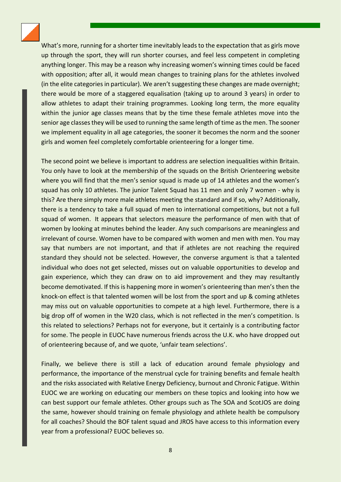

What's more, running for a shorter time inevitably leads to the expectation that as girls move up through the sport, they will run shorter courses, and feel less competent in completing anything longer. This may be a reason why increasing women's winning times could be faced with opposition; after all, it would mean changes to training plans for the athletes involved (in the elite categories in particular). We aren't suggesting these changes are made overnight; there would be more of a staggered equalisation (taking up to around 3 years) in order to allow athletes to adapt their training programmes. Looking long term, the more equality within the junior age classes means that by the time these female athletes move into the senior age classes they will be used to running the same length of time as the men. The sooner we implement equality in all age categories, the sooner it becomes the norm and the sooner girls and women feel completely comfortable orienteering for a longer time.

The second point we believe is important to address are selection inequalities within Britain. You only have to look at the membership of the squads on the British Orienteering website where you will find that the men's senior squad is made up of 14 athletes and the women's squad has only 10 athletes. The junior Talent Squad has 11 men and only 7 women - why is this? Are there simply more male athletes meeting the standard and if so, why? Additionally, there is a tendency to take a full squad of men to international competitions, but not a full squad of women. It appears that selectors measure the performance of men with that of women by looking at minutes behind the leader. Any such comparisons are meaningless and irrelevant of course. Women have to be compared with women and men with men. You may say that numbers are not important, and that if athletes are not reaching the required standard they should not be selected. However, the converse argument is that a talented individual who does not get selected, misses out on valuable opportunities to develop and gain experience, which they can draw on to aid improvement and they may resultantly become demotivated. If this is happening more in women's orienteering than men's then the knock-on effect is that talented women will be lost from the sport and up & coming athletes may miss out on valuable opportunities to compete at a high level. Furthermore, there is a big drop off of women in the W20 class, which is not reflected in the men's competition. Is this related to selections? Perhaps not for everyone, but it certainly is a contributing factor for some. The people in EUOC have numerous friends across the U.K. who have dropped out of orienteering because of, and we quote, 'unfair team selections'.

Finally, we believe there is still a lack of education around female physiology and performance, the importance of the menstrual cycle for training benefits and female health and the risks associated with Relative Energy Deficiency, burnout and Chronic Fatigue. Within EUOC we are working on educating our members on these topics and looking into how we can best support our female athletes. Other groups such as The SOA and ScotJOS are doing the same, however should training on female physiology and athlete health be compulsory for all coaches? Should the BOF talent squad and JROS have access to this information every year from a professional? EUOC believes so.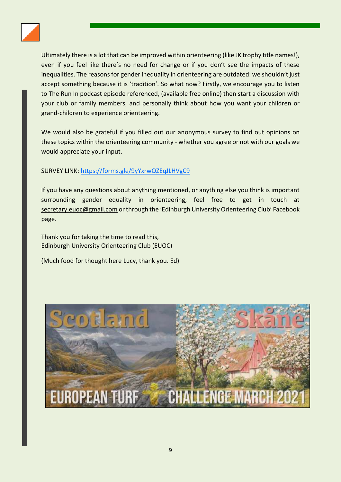

Ultimately there is a lot that can be improved within orienteering (like JK trophy title names!), even if you feel like there's no need for change or if you don't see the impacts of these inequalities. The reasons for gender inequality in orienteering are outdated: we shouldn't just accept something because it is 'tradition'. So what now? Firstly, we encourage you to listen to The Run In podcast episode referenced, (available free online) then start a discussion with your club or family members, and personally think about how you want your children or grand-children to experience orienteering.

We would also be grateful if you filled out our anonymous survey to find out opinions on these topics within the orienteering community - whether you agree or not with our goals we would appreciate your input.

#### SURVEY LINK: <https://forms.gle/9yYxrwQZEqJLHVgC9>

If you have any questions about anything mentioned, or anything else you think is important surrounding gender equality in orienteering, feel free to get in touch at [secretary.euoc@gmail.com](mailto:secretary.euoc@gmail.com) or through the 'Edinburgh University Orienteering Club' Facebook page.

Thank you for taking the time to read this, Edinburgh University Orienteering Club (EUOC)

(Much food for thought here Lucy, thank you. Ed)

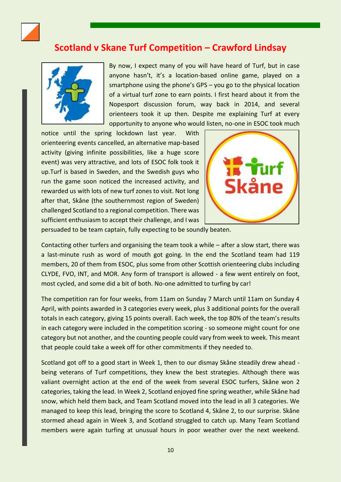

## <span id="page-9-0"></span>**Scotland v Skane Turf Competition – Crawford Lindsay**



By now, I expect many of you will have heard of Turf, but in case anyone hasn't, it's a location-based online game, played on a smartphone using the phone's GPS – you go to the physical location of a virtual turf zone to earn points. I first heard about it from the Nopesport discussion forum, way back in 2014, and several orienteers took it up then. Despite me explaining Turf at every opportunity to anyone who would listen, no-one in ESOC took much

notice until the spring lockdown last year. With orienteering events cancelled, an alternative map-based activity (giving infinite possibilities, like a huge score event) was very attractive, and lots of ESOC folk took it up.Turf is based in Sweden, and the Swedish guys who run the game soon noticed the increased activity, and rewarded us with lots of new turf zones to visit. Not long after that, Skåne (the southernmost region of Sweden) challenged Scotland to a regional competition. There was sufficient enthusiasm to accept their challenge, and I was



persuaded to be team captain, fully expecting to be soundly beaten.

Contacting other turfers and organising the team took a while – after a slow start, there was a last-minute rush as word of mouth got going. In the end the Scotland team had 119 members, 20 of them from ESOC, plus some from other Scottish orienteering clubs including CLYDE, FVO, INT, and MOR. Any form of transport is allowed - a few went entirely on foot, most cycled, and some did a bit of both. No-one admitted to turfing by car!

The competition ran for four weeks, from 11am on Sunday 7 March until 11am on Sunday 4 April, with points awarded in 3 categories every week, plus 3 additional points for the overall totals in each category, giving 15 points overall. Each week, the top 80% of the team's results in each category were included in the competition scoring - so someone might count for one category but not another, and the counting people could vary from week to week. This meant that people could take a week off for other commitments if they needed to.

Scotland got off to a good start in Week 1, then to our dismay Skåne steadily drew ahead being veterans of Turf competitions, they knew the best strategies. Although there was valiant overnight action at the end of the week from several ESOC turfers, Skåne won 2 categories, taking the lead. In Week 2, Scotland enjoyed fine spring weather, while Skåne had snow, which held them back, and Team Scotland moved into the lead in all 3 categories. We managed to keep this lead, bringing the score to Scotland 4, Skåne 2, to our surprise. Skåne stormed ahead again in Week 3, and Scotland struggled to catch up. Many Team Scotland members were again turfing at unusual hours in poor weather over the next weekend.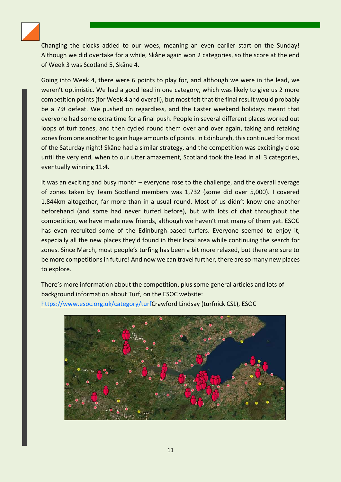

Changing the clocks added to our woes, meaning an even earlier start on the Sunday! Although we did overtake for a while, Skåne again won 2 categories, so the score at the end of Week 3 was Scotland 5, Skåne 4.

Going into Week 4, there were 6 points to play for, and although we were in the lead, we weren't optimistic. We had a good lead in one category, which was likely to give us 2 more competition points (for Week 4 and overall), but most felt that the final result would probably be a 7:8 defeat. We pushed on regardless, and the Easter weekend holidays meant that everyone had some extra time for a final push. People in several different places worked out loops of turf zones, and then cycled round them over and over again, taking and retaking zones from one another to gain huge amounts of points. In Edinburgh, this continued for most of the Saturday night! Skåne had a similar strategy, and the competition was excitingly close until the very end, when to our utter amazement, Scotland took the lead in all 3 categories, eventually winning 11:4.

It was an exciting and busy month – everyone rose to the challenge, and the overall average of zones taken by Team Scotland members was 1,732 (some did over 5,000). I covered 1,844km altogether, far more than in a usual round. Most of us didn't know one another beforehand (and some had never turfed before), but with lots of chat throughout the competition, we have made new friends, although we haven't met many of them yet. ESOC has even recruited some of the Edinburgh-based turfers. Everyone seemed to enjoy it, especially all the new places they'd found in their local area while continuing the search for zones. Since March, most people's turfing has been a bit more relaxed, but there are sure to be more competitions in future! And now we can travel further, there are so many new places to explore.

There's more information about the competition, plus some general articles and lots of background information about Turf, on the ESOC website: [https://www.esoc.org.uk/category/turfC](https://www.esoc.org.uk/category/turf)rawford Lindsay (turfnick CSL), ESOC

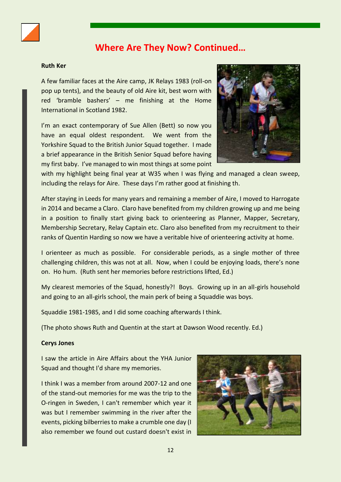

## **Where Are They Now? Continued…**

#### <span id="page-11-0"></span>**Ruth Ker**

A few familiar faces at the Aire camp, JK Relays 1983 (roll-on pop up tents), and the beauty of old Aire kit, best worn with red 'bramble bashers' – me finishing at the Home International in Scotland 1982.

I'm an exact contemporary of Sue Allen (Bett) so now you have an equal oldest respondent. We went from the Yorkshire Squad to the British Junior Squad together. I made a brief appearance in the British Senior Squad before having my first baby. I've managed to win most things at some point



with my highlight being final year at W35 when I was flying and managed a clean sweep, including the relays for Aire. These days I'm rather good at finishing th.

After staying in Leeds for many years and remaining a member of Aire, I moved to Harrogate in 2014 and became a Claro. Claro have benefited from my children growing up and me being in a position to finally start giving back to orienteering as Planner, Mapper, Secretary, Membership Secretary, Relay Captain etc. Claro also benefited from my recruitment to their ranks of Quentin Harding so now we have a veritable hive of orienteering activity at home.

I orienteer as much as possible. For considerable periods, as a single mother of three challenging children, this was not at all. Now, when I could be enjoying loads, there's none on. Ho hum. (Ruth sent her memories before restrictions lifted, Ed.)

My clearest memories of the Squad, honestly?! Boys. Growing up in an all-girls household and going to an all-girls school, the main perk of being a Squaddie was boys.

Squaddie 1981-1985, and I did some coaching afterwards I think.

(The photo shows Ruth and Quentin at the start at Dawson Wood recently. Ed.)

#### **Cerys Jones**

I saw the article in Aire Affairs about the YHA Junior Squad and thought I'd share my memories.

I think I was a member from around 2007-12 and one of the stand-out memories for me was the trip to the O-ringen in Sweden, I can't remember which year it was but I remember swimming in the river after the events, picking bilberries to make a crumble one day (I also remember we found out custard doesn't exist in

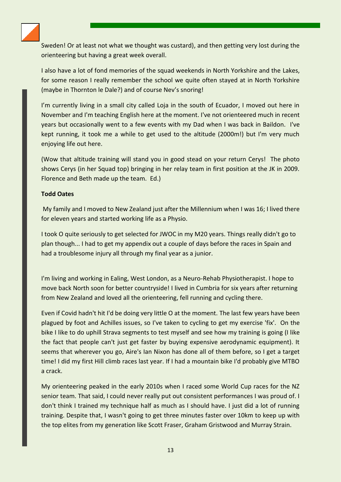Sweden! Or at least not what we thought was custard), and then getting very lost during the orienteering but having a great week overall.

I also have a lot of fond memories of the squad weekends in North Yorkshire and the Lakes, for some reason I really remember the school we quite often stayed at in North Yorkshire (maybe in Thornton le Dale?) and of course Nev's snoring!

I'm currently living in a small city called Loja in the south of Ecuador, I moved out here in November and I'm teaching English here at the moment. I've not orienteered much in recent years but occasionally went to a few events with my Dad when I was back in Baildon. I've kept running, it took me a while to get used to the altitude (2000m!) but I'm very much enjoying life out here.

(Wow that altitude training will stand you in good stead on your return Cerys! The photo shows Cerys (in her Squad top) bringing in her relay team in first position at the JK in 2009. Florence and Beth made up the team. Ed.)

#### **Todd Oates**

My family and I moved to New Zealand just after the Millennium when I was 16; I lived there for eleven years and started working life as a Physio.

I took O quite seriously to get selected for JWOC in my M20 years. Things really didn't go to plan though... I had to get my appendix out a couple of days before the races in Spain and had a troublesome injury all through my final year as a junior.

I'm living and working in Ealing, West London, as a Neuro-Rehab Physiotherapist. I hope to move back North soon for better countryside! I lived in Cumbria for six years after returning from New Zealand and loved all the orienteering, fell running and cycling there.

Even if Covid hadn't hit I'd be doing very little O at the moment. The last few years have been plagued by foot and Achilles issues, so I've taken to cycling to get my exercise 'fix'. On the bike I like to do uphill Strava segments to test myself and see how my training is going (I like the fact that people can't just get faster by buying expensive aerodynamic equipment). It seems that wherever you go, Aire's Ian Nixon has done all of them before, so I get a target time! I did my first Hill climb races last year. If I had a mountain bike I'd probably give MTBO a crack.

My orienteering peaked in the early 2010s when I raced some World Cup races for the NZ senior team. That said, I could never really put out consistent performances I was proud of. I don't think I trained my technique half as much as I should have. I just did a lot of running training. Despite that, I wasn't going to get three minutes faster over 10km to keep up with the top elites from my generation like Scott Fraser, Graham Gristwood and Murray Strain.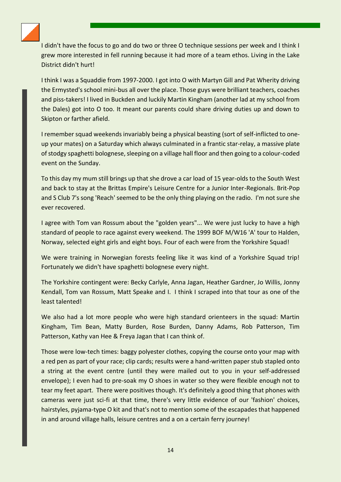

I didn't have the focus to go and do two or three O technique sessions per week and I think I grew more interested in fell running because it had more of a team ethos. Living in the Lake District didn't hurt!

I think I was a Squaddie from 1997-2000. I got into O with Martyn Gill and Pat Wherity driving the Ermysted's school mini-bus all over the place. Those guys were brilliant teachers, coaches and piss-takers! I lived in Buckden and luckily Martin Kingham (another lad at my school from the Dales) got into O too. It meant our parents could share driving duties up and down to Skipton or farther afield.

I remember squad weekends invariably being a physical beasting (sort of self-inflicted to oneup your mates) on a Saturday which always culminated in a frantic star-relay, a massive plate of stodgy spaghetti bolognese, sleeping on a village hall floor and then going to a colour-coded event on the Sunday.

To this day my mum still brings up that she drove a car load of 15 year-olds to the South West and back to stay at the Brittas Empire's Leisure Centre for a Junior Inter-Regionals. Brit-Pop and S Club 7's song 'Reach' seemed to be the only thing playing on the radio. I'm not sure she ever recovered.

I agree with Tom van Rossum about the "golden years"... We were just lucky to have a high standard of people to race against every weekend. The 1999 BOF M/W16 'A' tour to Halden, Norway, selected eight girls and eight boys. Four of each were from the Yorkshire Squad!

We were training in Norwegian forests feeling like it was kind of a Yorkshire Squad trip! Fortunately we didn't have spaghetti bolognese every night.

The Yorkshire contingent were: Becky Carlyle, Anna Jagan, Heather Gardner, Jo Willis, Jonny Kendall, Tom van Rossum, Matt Speake and I. I think I scraped into that tour as one of the least talented!

We also had a lot more people who were high standard orienteers in the squad: Martin Kingham, Tim Bean, Matty Burden, Rose Burden, Danny Adams, Rob Patterson, Tim Patterson, Kathy van Hee & Freya Jagan that I can think of.

Those were low-tech times: baggy polyester clothes, copying the course onto your map with a red pen as part of your race; clip cards; results were a hand-written paper stub stapled onto a string at the event centre (until they were mailed out to you in your self-addressed envelope); I even had to pre-soak my O shoes in water so they were flexible enough not to tear my feet apart. There were positives though. It's definitely a good thing that phones with cameras were just sci-fi at that time, there's very little evidence of our 'fashion' choices, hairstyles, pyjama-type O kit and that's not to mention some of the escapades that happened in and around village halls, leisure centres and a on a certain ferry journey!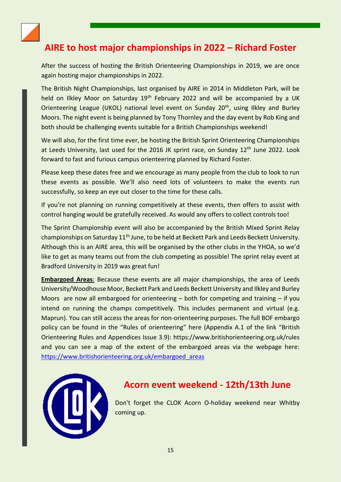

## <span id="page-14-0"></span>**AIRE to host major championships in 2022 – Richard Foster**

After the success of hosting the British Orienteering Championships in 2019, we are once again hosting major championships in 2022.

The British Night Championships, last organised by AIRE in 2014 in Middleton Park, will be held on Ilkley Moor on Saturday 19<sup>th</sup> February 2022 and will be accompanied by a UK Orienteering League (UKOL) national level event on Sunday 20<sup>th</sup>, using Ilkley and Burley Moors. The night event is being planned by Tony Thornley and the day event by Rob King and both should be challenging events suitable for a British Championships weekend!

We will also, for the first time ever, be hosting the British Sprint Orienteering Championships at Leeds University, last used for the 2016 JK sprint race, on Sunday 12<sup>th</sup> June 2022. Look forward to fast and furious campus orienteering planned by Richard Foster.

Please keep these dates free and we encourage as many people from the club to look to run these events as possible. We'll also need lots of volunteers to make the events run successfully, so keep an eye out closer to the time for these calls.

If you're not planning on running competitively at these events, then offers to assist with control hanging would be gratefully received. As would any offers to collect controls too!

The Sprint Championship event will also be accompanied by the British Mixed Sprint Relay championships on Saturday  $11<sup>th</sup>$  June, to be held at Beckett Park and Leeds Beckett University. Although this is an AIRE area, this will be organised by the other clubs in the YHOA, so we'd like to get as many teams out from the club competing as possible! The sprint relay event at Bradford University in 2019 was great fun!

**Embargoed Areas**: Because these events are all major championships, the area of Leeds University/Woodhouse Moor, Beckett Park and Leeds Beckett University and Ilkley and Burley Moors are now all embargoed for orienteering  $-$  both for competing and training  $-$  if you intend on running the champs competitively. This includes permanent and virtual (e.g. Maprun). You can still access the areas for non-orienteering purposes. The full BOF embargo policy can be found in the "Rules of orienteering" here (Appendix A.1 of the link "British Orienteering Rules and Appendices Issue 3.9): https://www.britishorienteering.org.uk/rules and you can see a map of the extent of the embargoed areas via the webpage here: [https://www.britishorienteering.org.uk/embargoed\\_areas](https://www.britishorienteering.org.uk/embargoed_areas)



## <span id="page-14-1"></span>**Acorn event weekend - 12th/13th June**

Don't forget the CLOK Acorn O-holiday weekend near Whitby coming up.